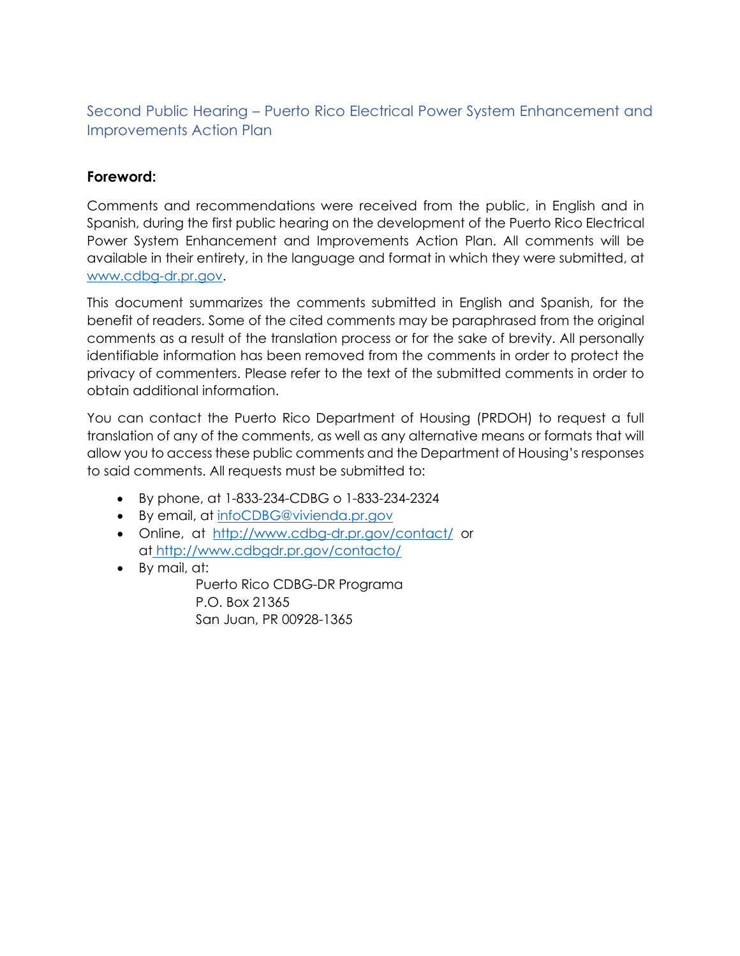Second Public Hearing – Puerto Rico Electrical Power System Enhancement and Improvements Action Plan

# **Foreword:**

Comments and recommendations were received from the public, in English and in Spanish, during the first public hearing on the development of the Puerto Rico Electrical Power System Enhancement and Improvements Action Plan. All comments will be available in their entirety, in the language and format in which they were submitted, at [www.cdbg-dr.pr.gov.](http://www.cdbg-dr.pr.gov/)

This document summarizes the comments submitted in English and Spanish, for the benefit of readers. Some of the cited comments may be paraphrased from the original comments as a result of the translation process or for the sake of brevity. All personally identifiable information has been removed from the comments in order to protect the privacy of commenters. Please refer to the text of the submitted comments in order to obtain additional information.

You can contact the Puerto Rico Department of Housing (PRDOH) to request a full translation of any of the comments, as well as any alternative means or formats that will allow you to access these public comments and the Department of Housing's responses to said comments. All requests must be submitted to:

- By phone, at 1-833-234-CDBG o 1-833-234-2324
- By email, at [infoCDBG@vivienda.pr.gov](mailto:infoCDBG@vivienda.pr.gov)
- Online, at <http://www.cdbg-dr.pr.gov/contact/> or at <http://www.cdbgdr.pr.gov/contacto/>
- By mail, at:

Puerto Rico CDBG-DR Programa P.O. Box 21365 San Juan, PR 00928-1365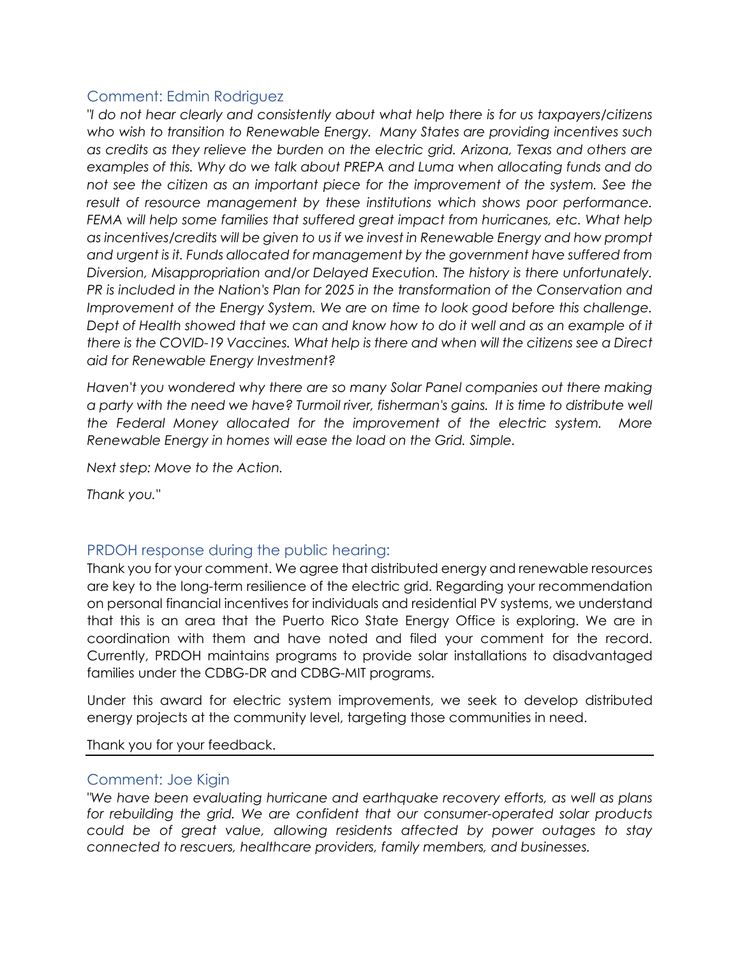## Comment: Edmin Rodriguez

*"I do not hear clearly and consistently about what help there is for us taxpayers/citizens who wish to transition to Renewable Energy. Many States are providing incentives such as credits as they relieve the burden on the electric grid. Arizona, Texas and others are examples of this. Why do we talk about PREPA and Luma when allocating funds and do not see the citizen as an important piece for the improvement of the system. See the result of resource management by these institutions which shows poor performance. FEMA will help some families that suffered great impact from hurricanes, etc. What help as incentives/credits will be given to us if we invest in Renewable Energy and how prompt and urgent is it. Funds allocated for management by the government have suffered from Diversion, Misappropriation and/or Delayed Execution. The history is there unfortunately. PR is included in the Nation's Plan for 2025 in the transformation of the Conservation and Improvement of the Energy System. We are on time to look good before this challenge. Dept of Health showed that we can and know how to do it well and as an example of it there is the COVID-19 Vaccines. What help is there and when will the citizens see a Direct aid for Renewable Energy Investment?*

*Haven't you wondered why there are so many Solar Panel companies out there making a party with the need we have? Turmoil river, fisherman's gains. It is time to distribute well the Federal Money allocated for the improvement of the electric system. More Renewable Energy in homes will ease the load on the Grid. Simple.*

*Next step: Move to the Action.*

*Thank you."*

#### PRDOH response during the public hearing:

Thank you for your comment. We agree that distributed energy and renewable resources are key to the long-term resilience of the electric grid. Regarding your recommendation on personal financial incentives for individuals and residential PV systems, we understand that this is an area that the Puerto Rico State Energy Office is exploring. We are in coordination with them and have noted and filed your comment for the record. Currently, PRDOH maintains programs to provide solar installations to disadvantaged families under the CDBG-DR and CDBG-MIT programs.

Under this award for electric system improvements, we seek to develop distributed energy projects at the community level, targeting those communities in need.

Thank you for your feedback.

#### Comment: Joe Kigin

*"We have been evaluating hurricane and earthquake recovery efforts, as well as plans for rebuilding the grid. We are confident that our consumer-operated solar products could be of great value, allowing residents affected by power outages to stay connected to rescuers, healthcare providers, family members, and businesses.*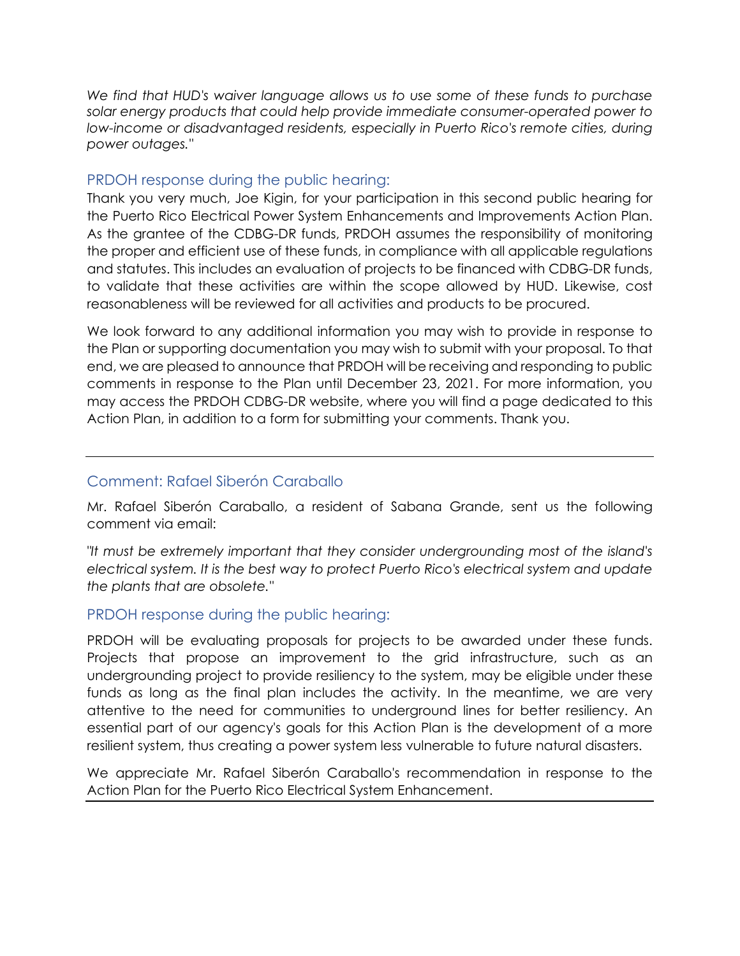*We find that HUD's waiver language allows us to use some of these funds to purchase solar energy products that could help provide immediate consumer-operated power to low-income or disadvantaged residents, especially in Puerto Rico's remote cities, during power outages."*

#### PRDOH response during the public hearing:

Thank you very much, Joe Kigin, for your participation in this second public hearing for the Puerto Rico Electrical Power System Enhancements and Improvements Action Plan. As the grantee of the CDBG-DR funds, PRDOH assumes the responsibility of monitoring the proper and efficient use of these funds, in compliance with all applicable regulations and statutes. This includes an evaluation of projects to be financed with CDBG-DR funds, to validate that these activities are within the scope allowed by HUD. Likewise, cost reasonableness will be reviewed for all activities and products to be procured.

We look forward to any additional information you may wish to provide in response to the Plan or supporting documentation you may wish to submit with your proposal. To that end, we are pleased to announce that PRDOH will be receiving and responding to public comments in response to the Plan until December 23, 2021. For more information, you may access the PRDOH CDBG-DR website, where you will find a page dedicated to this Action Plan, in addition to a form for submitting your comments. Thank you.

## Comment: Rafael Siberón Caraballo

Mr. Rafael Siberón Caraballo, a resident of Sabana Grande, sent us the following comment via email:

*"It must be extremely important that they consider undergrounding most of the island's electrical system. It is the best way to protect Puerto Rico's electrical system and update the plants that are obsolete."*

#### PRDOH response during the public hearing:

PRDOH will be evaluating proposals for projects to be awarded under these funds. Projects that propose an improvement to the grid infrastructure, such as an undergrounding project to provide resiliency to the system, may be eligible under these funds as long as the final plan includes the activity. In the meantime, we are very attentive to the need for communities to underground lines for better resiliency. An essential part of our agency's goals for this Action Plan is the development of a more resilient system, thus creating a power system less vulnerable to future natural disasters.

We appreciate Mr. Rafael Siberón Caraballo's recommendation in response to the Action Plan for the Puerto Rico Electrical System Enhancement.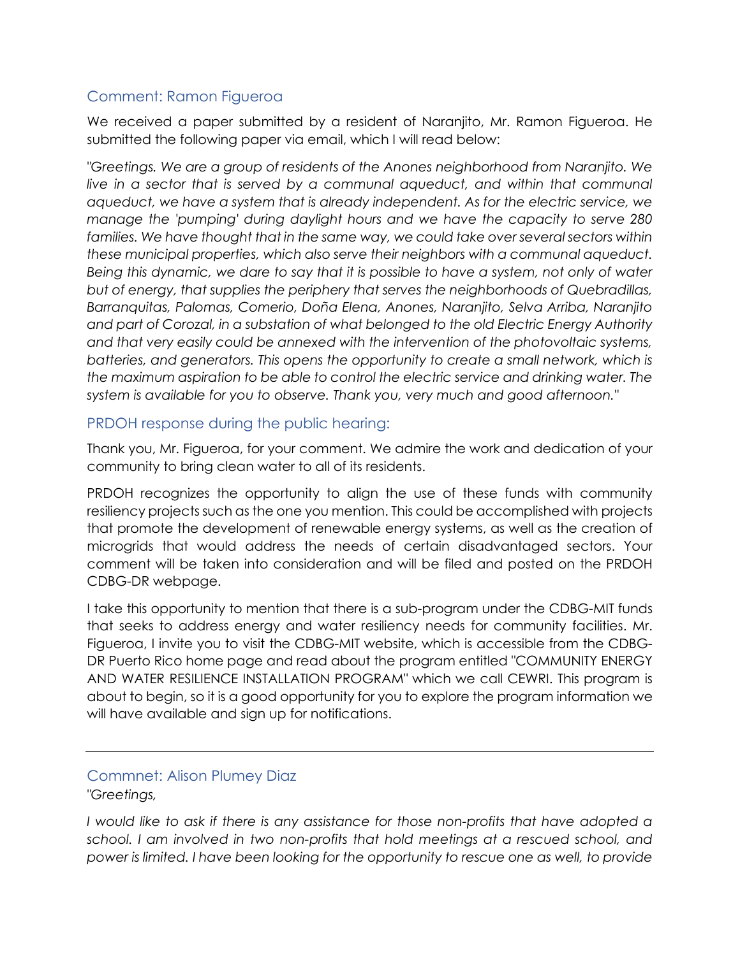# Comment: Ramon Figueroa

We received a paper submitted by a resident of Naranjito, Mr. Ramon Figueroa. He submitted the following paper via email, which I will read below:

*"Greetings. We are a group of residents of the Anones neighborhood from Naranjito. We live in a sector that is served by a communal aqueduct, and within that communal aqueduct, we have a system that is already independent. As for the electric service, we manage the 'pumping' during daylight hours and we have the capacity to serve 280 families. We have thought that in the same way, we could take over several sectors within these municipal properties, which also serve their neighbors with a communal aqueduct. Being this dynamic, we dare to say that it is possible to have a system, not only of water but of energy, that supplies the periphery that serves the neighborhoods of Quebradillas, Barranquitas, Palomas, Comerio, Doña Elena, Anones, Naranjito, Selva Arriba, Naranjito and part of Corozal, in a substation of what belonged to the old Electric Energy Authority and that very easily could be annexed with the intervention of the photovoltaic systems, batteries, and generators. This opens the opportunity to create a small network, which is the maximum aspiration to be able to control the electric service and drinking water. The system is available for you to observe. Thank you, very much and good afternoon."*

## PRDOH response during the public hearing:

Thank you, Mr. Figueroa, for your comment. We admire the work and dedication of your community to bring clean water to all of its residents.

PRDOH recognizes the opportunity to align the use of these funds with community resiliency projects such as the one you mention. This could be accomplished with projects that promote the development of renewable energy systems, as well as the creation of microgrids that would address the needs of certain disadvantaged sectors. Your comment will be taken into consideration and will be filed and posted on the PRDOH CDBG-DR webpage.

I take this opportunity to mention that there is a sub-program under the CDBG-MIT funds that seeks to address energy and water resiliency needs for community facilities. Mr. Figueroa, I invite you to visit the CDBG-MIT website, which is accessible from the CDBG-DR Puerto Rico home page and read about the program entitled "COMMUNITY ENERGY AND WATER RESILIENCE INSTALLATION PROGRAM" which we call CEWRI. This program is about to begin, so it is a good opportunity for you to explore the program information we will have available and sign up for notifications.

### Commnet: Alison Plumey Diaz *"Greetings,*

*I would like to ask if there is any assistance for those non-profits that have adopted a school. I am involved in two non-profits that hold meetings at a rescued school, and power is limited. I have been looking for the opportunity to rescue one as well, to provide*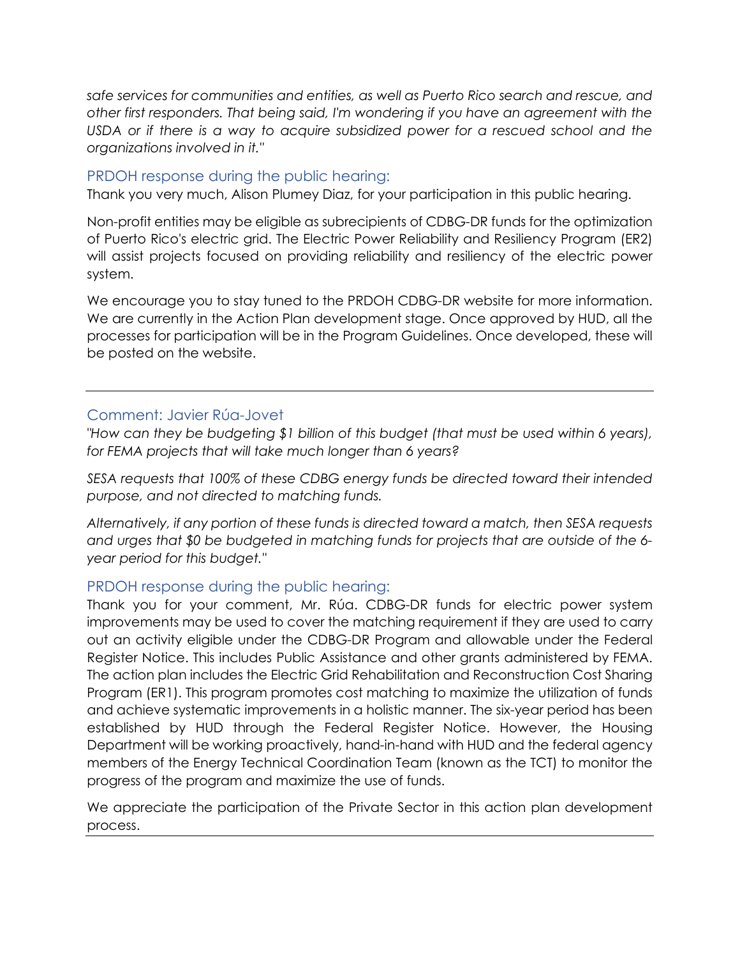*safe services for communities and entities, as well as Puerto Rico search and rescue, and other first responders. That being said, I'm wondering if you have an agreement with the USDA or if there is a way to acquire subsidized power for a rescued school and the organizations involved in it."*

#### PRDOH response during the public hearing:

Thank you very much, Alison Plumey Diaz, for your participation in this public hearing.

Non-profit entities may be eligible as subrecipients of CDBG-DR funds for the optimization of Puerto Rico's electric grid. The Electric Power Reliability and Resiliency Program (ER2) will assist projects focused on providing reliability and resiliency of the electric power system.

We encourage you to stay tuned to the PRDOH CDBG-DR website for more information. We are currently in the Action Plan development stage. Once approved by HUD, all the processes for participation will be in the Program Guidelines. Once developed, these will be posted on the website.

#### Comment: Javier Rúa-Jovet

*"How can they be budgeting \$1 billion of this budget (that must be used within 6 years), for FEMA projects that will take much longer than 6 years?*

*SESA requests that 100% of these CDBG energy funds be directed toward their intended purpose, and not directed to matching funds.*

*Alternatively, if any portion of these funds is directed toward a match, then SESA requests and urges that \$0 be budgeted in matching funds for projects that are outside of the 6 year period for this budget."*

#### PRDOH response during the public hearing:

Thank you for your comment, Mr. Rúa. CDBG-DR funds for electric power system improvements may be used to cover the matching requirement if they are used to carry out an activity eligible under the CDBG-DR Program and allowable under the Federal Register Notice. This includes Public Assistance and other grants administered by FEMA. The action plan includes the Electric Grid Rehabilitation and Reconstruction Cost Sharing Program (ER1). This program promotes cost matching to maximize the utilization of funds and achieve systematic improvements in a holistic manner. The six-year period has been established by HUD through the Federal Register Notice. However, the Housing Department will be working proactively, hand-in-hand with HUD and the federal agency members of the Energy Technical Coordination Team (known as the TCT) to monitor the progress of the program and maximize the use of funds.

We appreciate the participation of the Private Sector in this action plan development process.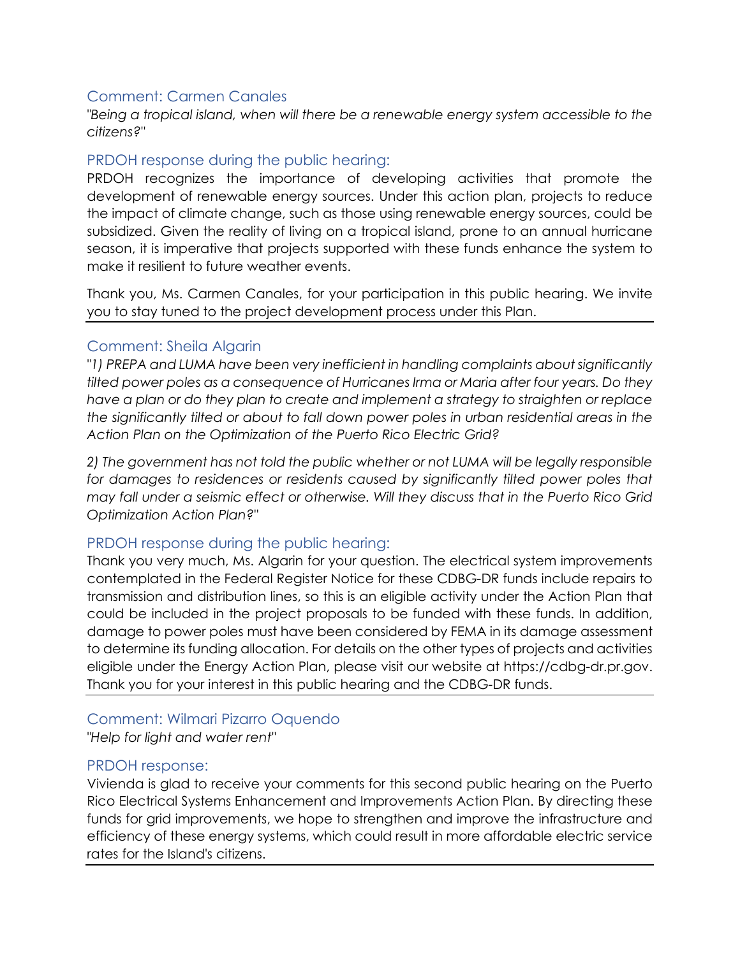# Comment: Carmen Canales

*"Being a tropical island, when will there be a renewable energy system accessible to the citizens?"*

## PRDOH response during the public hearing:

PRDOH recognizes the importance of developing activities that promote the development of renewable energy sources. Under this action plan, projects to reduce the impact of climate change, such as those using renewable energy sources, could be subsidized. Given the reality of living on a tropical island, prone to an annual hurricane season, it is imperative that projects supported with these funds enhance the system to make it resilient to future weather events.

Thank you, Ms. Carmen Canales, for your participation in this public hearing. We invite you to stay tuned to the project development process under this Plan.

#### Comment: Sheila Algarin

*"1) PREPA and LUMA have been very inefficient in handling complaints about significantly tilted power poles as a consequence of Hurricanes Irma or Maria after four years. Do they have a plan or do they plan to create and implement a strategy to straighten or replace the significantly tilted or about to fall down power poles in urban residential areas in the Action Plan on the Optimization of the Puerto Rico Electric Grid?* 

*2) The government has not told the public whether or not LUMA will be legally responsible for damages to residences or residents caused by significantly tilted power poles that may fall under a seismic effect or otherwise. Will they discuss that in the Puerto Rico Grid Optimization Action Plan?"*

#### PRDOH response during the public hearing:

Thank you very much, Ms. Algarin for your question. The electrical system improvements contemplated in the Federal Register Notice for these CDBG-DR funds include repairs to transmission and distribution lines, so this is an eligible activity under the Action Plan that could be included in the project proposals to be funded with these funds. In addition, damage to power poles must have been considered by FEMA in its damage assessment to determine its funding allocation. For details on the other types of projects and activities eligible under the Energy Action Plan, please visit our website at https://cdbg-dr.pr.gov. Thank you for your interest in this public hearing and the CDBG-DR funds.

# Comment: Wilmari Pizarro Oquendo

*"Help for light and water rent"*

#### PRDOH response:

Vivienda is glad to receive your comments for this second public hearing on the Puerto Rico Electrical Systems Enhancement and Improvements Action Plan. By directing these funds for grid improvements, we hope to strengthen and improve the infrastructure and efficiency of these energy systems, which could result in more affordable electric service rates for the Island's citizens.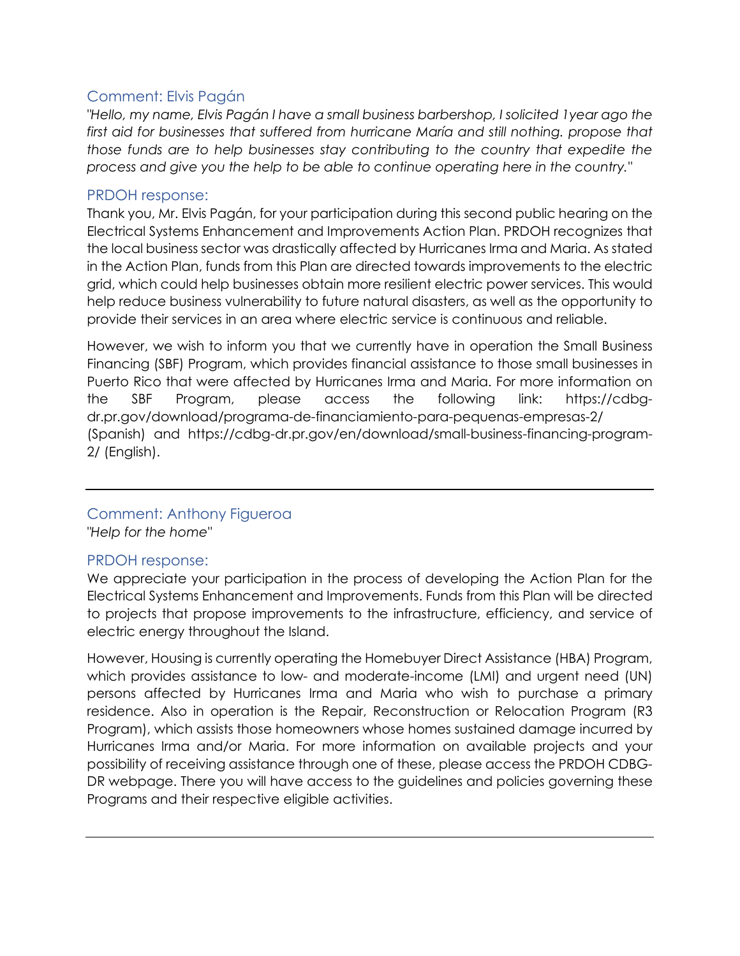# Comment: Elvis Pagán

*"Hello, my name, Elvis Pagán I have a small business barbershop, I solicited 1year ago the first aid for businesses that suffered from hurricane María and still nothing. propose that those funds are to help businesses stay contributing to the country that expedite the process and give you the help to be able to continue operating here in the country."*

#### PRDOH response:

Thank you, Mr. Elvis Pagán, for your participation during this second public hearing on the Electrical Systems Enhancement and Improvements Action Plan. PRDOH recognizes that the local business sector was drastically affected by Hurricanes Irma and Maria. As stated in the Action Plan, funds from this Plan are directed towards improvements to the electric grid, which could help businesses obtain more resilient electric power services. This would help reduce business vulnerability to future natural disasters, as well as the opportunity to provide their services in an area where electric service is continuous and reliable.

However, we wish to inform you that we currently have in operation the Small Business Financing (SBF) Program, which provides financial assistance to those small businesses in Puerto Rico that were affected by Hurricanes Irma and Maria. For more information on the SBF Program, please access the following link: https://cdbgdr.pr.gov/download/programa-de-financiamiento-para-pequenas-empresas-2/ (Spanish) and https://cdbg-dr.pr.gov/en/download/small-business-financing-program-2/ (English).

# Comment: Anthony Figueroa

*"Help for the home"*

#### PRDOH response:

We appreciate your participation in the process of developing the Action Plan for the Electrical Systems Enhancement and Improvements. Funds from this Plan will be directed to projects that propose improvements to the infrastructure, efficiency, and service of electric energy throughout the Island.

However, Housing is currently operating the Homebuyer Direct Assistance (HBA) Program, which provides assistance to low- and moderate-income (LMI) and urgent need (UN) persons affected by Hurricanes Irma and Maria who wish to purchase a primary residence. Also in operation is the Repair, Reconstruction or Relocation Program (R3 Program), which assists those homeowners whose homes sustained damage incurred by Hurricanes Irma and/or Maria. For more information on available projects and your possibility of receiving assistance through one of these, please access the PRDOH CDBG-DR webpage. There you will have access to the guidelines and policies governing these Programs and their respective eligible activities.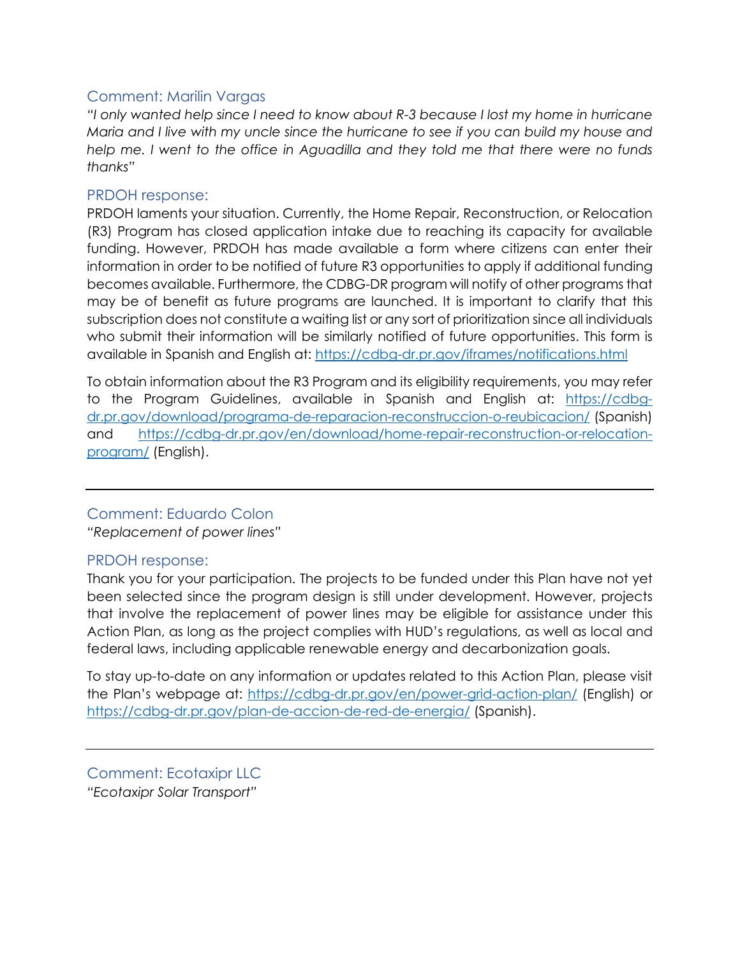## Comment: Marilin Vargas

*"I only wanted help since I need to know about R-3 because I lost my home in hurricane Maria and I live with my uncle since the hurricane to see if you can build my house and help me. I went to the office in Aguadilla and they told me that there were no funds thanks"*

#### PRDOH response:

PRDOH laments your situation. Currently, the Home Repair, Reconstruction, or Relocation (R3) Program has closed application intake due to reaching its capacity for available funding. However, PRDOH has made available a form where citizens can enter their information in order to be notified of future R3 opportunities to apply if additional funding becomes available. Furthermore, the CDBG-DR program will notify of other programs that may be of benefit as future programs are launched. It is important to clarify that this subscription does not constitute a waiting list or any sort of prioritization since all individuals who submit their information will be similarly notified of future opportunities. This form is available in Spanish and English at: <https://cdbg-dr.pr.gov/iframes/notifications.html>

To obtain information about the R3 Program and its eligibility requirements, you may refer to the Program Guidelines, available in Spanish and English at: [https://cdbg](https://cdbg-dr.pr.gov/download/programa-de-reparacion-reconstruccion-o-reubicacion/)[dr.pr.gov/download/programa-de-reparacion-reconstruccion-o-reubicacion/](https://cdbg-dr.pr.gov/download/programa-de-reparacion-reconstruccion-o-reubicacion/) (Spanish) and [https://cdbg-dr.pr.gov/en/download/home-repair-reconstruction-or-relocation](https://cdbg-dr.pr.gov/en/download/home-repair-reconstruction-or-relocation-program/)[program/](https://cdbg-dr.pr.gov/en/download/home-repair-reconstruction-or-relocation-program/) (English).

# Comment: Eduardo Colon

*"Replacement of power lines"*

#### PRDOH response:

Thank you for your participation. The projects to be funded under this Plan have not yet been selected since the program design is still under development. However, projects that involve the replacement of power lines may be eligible for assistance under this Action Plan, as long as the project complies with HUD's regulations, as well as local and federal laws, including applicable renewable energy and decarbonization goals.

To stay up-to-date on any information or updates related to this Action Plan, please visit the Plan's webpage at:<https://cdbg-dr.pr.gov/en/power-grid-action-plan/> (English) or <https://cdbg-dr.pr.gov/plan-de-accion-de-red-de-energia/> (Spanish).

Comment: Ecotaxipr LLC *"Ecotaxipr Solar Transport"*